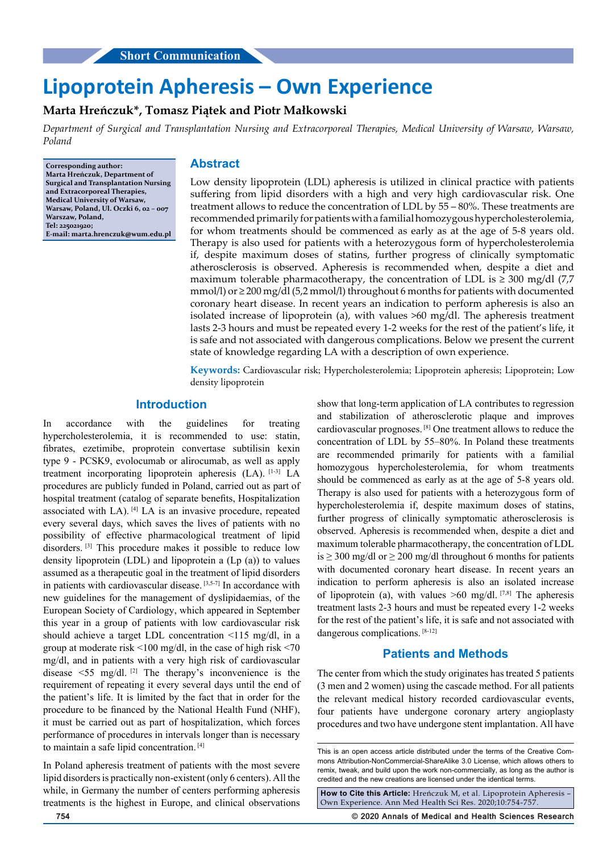# **Lipoprotein Apheresis – Own Experience**

# **Marta Hreńczuk\*, Tomasz Piątek and Piotr Małkowski**

*Department of Surgical and Transplantation Nursing and Extracorporeal Therapies, Medical University of Warsaw, Warsaw, Poland*

**Corresponding author: Marta Hreńczuk, Department of Surgical and Transplantation Nursing and Extracorporeal Therapies, Medical University of Warsaw, Warsaw, Poland, Ul. Oczki 6, 02 – 007 Warszaw, Poland, Tel: 225021920; E-mail: marta.hrenczuk@wum.edu.pl**

#### **Abstract**

Low density lipoprotein (LDL) apheresis is utilized in clinical practice with patients suffering from lipid disorders with a high and very high cardiovascular risk. One treatment allows to reduce the concentration of LDL by 55 – 80%. These treatments are recommended primarily for patients with a familial homozygous hypercholesterolemia, for whom treatments should be commenced as early as at the age of 5-8 years old. Therapy is also used for patients with a heterozygous form of hypercholesterolemia if, despite maximum doses of statins, further progress of clinically symptomatic atherosclerosis is observed. Apheresis is recommended when, despite a diet and maximum tolerable pharmacotherapy, the concentration of LDL is  $\geq$  300 mg/dl (7,7) mmol/l) or  $\geq$  200 mg/dl (5,2 mmol/l) throughout 6 months for patients with documented coronary heart disease. In recent years an indication to perform apheresis is also an isolated increase of lipoprotein (a), with values >60 mg/dl. The apheresis treatment lasts 2-3 hours and must be repeated every 1-2 weeks for the rest of the patient's life, it is safe and not associated with dangerous complications. Below we present the current state of knowledge regarding LA with a description of own experience.

**Keywords:** Cardiovascular risk; Hypercholesterolemia; Lipoprotein apheresis; Lipoprotein; Low density lipoprotein

## **Introduction**

In accordance with the guidelines for treating hypercholesterolemia, it is recommended to use: statin, fibrates, ezetimibe, proprotein convertase subtilisin kexin type 9 - PCSK9, evolocumab or alirocumab, as well as apply treatment incorporating lipoprotein apheresis (LA). [1-3] LA procedures are publicly funded in Poland, carried out as part of hospital treatment (catalog of separate benefits, Hospitalization associated with LA). [4] LA is an invasive procedure, repeated every several days, which saves the lives of patients with no possibility of effective pharmacological treatment of lipid disorders. [3] This procedure makes it possible to reduce low density lipoprotein (LDL) and lipoprotein a (Lp (a)) to values assumed as a therapeutic goal in the treatment of lipid disorders in patients with cardiovascular disease. [3,5-7] In accordance with new guidelines for the management of dyslipidaemias, of the European Society of Cardiology, which appeared in September this year in a group of patients with low cardiovascular risk should achieve a target LDL concentration <115 mg/dl, in a group at moderate risk <100 mg/dl, in the case of high risk <70 mg/dl, and in patients with a very high risk of cardiovascular disease  $\leq 55$  mg/dl. <sup>[2]</sup> The therapy's inconvenience is the requirement of repeating it every several days until the end of the patient's life. It is limited by the fact that in order for the procedure to be financed by the National Health Fund (NHF), it must be carried out as part of hospitalization, which forces performance of procedures in intervals longer than is necessary to maintain a safe lipid concentration. [4]

In Poland apheresis treatment of patients with the most severe lipid disorders is practically non-existent (only 6 centers). All the while, in Germany the number of centers performing apheresis treatments is the highest in Europe, and clinical observations

show that long-term application of LA contributes to regression and stabilization of atherosclerotic plaque and improves cardiovascular prognoses. [8] One treatment allows to reduce the concentration of LDL by 55–80%. In Poland these treatments are recommended primarily for patients with a familial homozygous hypercholesterolemia, for whom treatments should be commenced as early as at the age of 5-8 years old. Therapy is also used for patients with a heterozygous form of hypercholesterolemia if, despite maximum doses of statins, further progress of clinically symptomatic atherosclerosis is observed. Apheresis is recommended when, despite a diet and maximum tolerable pharmacotherapy, the concentration of LDL is  $\geq$  300 mg/dl or  $\geq$  200 mg/dl throughout 6 months for patients with documented coronary heart disease. In recent years an indication to perform apheresis is also an isolated increase of lipoprotein (a), with values  $\geq 60$  mg/dl. [7,8] The apheresis treatment lasts 2-3 hours and must be repeated every 1-2 weeks for the rest of the patient's life, it is safe and not associated with dangerous complications. [8-12]

## **Patients and Methods**

The center from which the study originates has treated 5 patients (3 men and 2 women) using the cascade method. For all patients the relevant medical history recorded cardiovascular events, four patients have undergone coronary artery angioplasty procedures and two have undergone stent implantation. All have

**How to Cite this Article:** Hreńczuk M, et al. Lipoprotein Apheresis – Own Experience. Ann Med Health Sci Res. 2020;10:754-757.

**754 © 2020 Annals of Medical and Health Sciences Research** 

This is an open access article distributed under the terms of the Creative Commons Attribution‑NonCommercial‑ShareAlike 3.0 License, which allows others to remix, tweak, and build upon the work non‑commercially, as long as the author is credited and the new creations are licensed under the identical terms.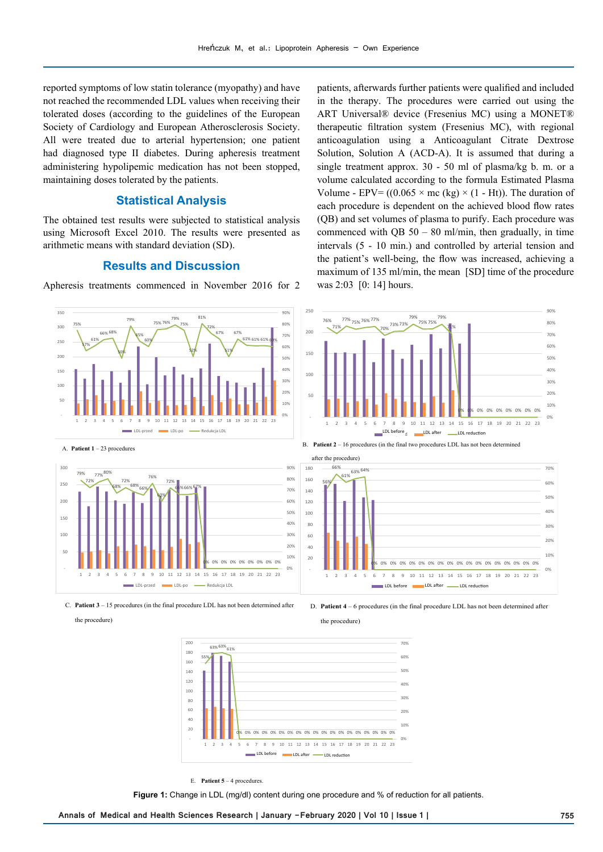reported symptoms of low statin tolerance (myopathy) and have not reached the recommended LDL values when receiving their tolerated doses (according to the guidelines of the European Society of Cardiology and European Atherosclerosis Society. All were treated due to arterial hypertension; one patient had diagnosed type II diabetes. During apheresis treatment administering hypolipemic medication has not been stopped, maintaining doses tolerated by the patients.

## **Statistical Analysis**

The obtained test results were subjected to statistical analysis using Microsoft Excel 2010. The results were presented as arithmetic means with standard deviation (SD).

### **Results and Discussion**

Apheresis treatments commenced in November 2016 for 2

patients, afterwards further patients were qualified and included in the therapy. The procedures were carried out using the ART Universal® device (Fresenius MC) using a MONET® therapeutic filtration system (Fresenius MC), with regional anticoagulation using a Anticoagulant Citrate Dextrose Solution, Solution A (ACD-A). It is assumed that during a single treatment approx. 30 - 50 ml of plasma/kg b. m. or a volume calculated according to the formula Estimated Plasma Volume - EPV=  $((0.065 \times mc (kg) \times (1 - Ht))$ . The duration of each procedure is dependent on the achieved blood flow rates (QB) and set volumes of plasma to purify. Each procedure was commenced with QB  $50 - 80$  ml/min, then gradually, in time intervals (5 - 10 min.) and controlled by arterial tension and the patient's well-being, the flow was increased, achieving a maximum of 135 ml/min, the mean [SD] time of the procedure was 2:03 [0: 14] hours.





the procedure)

C. **Patient 3** – 15 procedures (in the final procedure LDL has not been determined after



÷

0% 0% 0% 0% 0% 0% 0% 0% 0% 0% 0% 0% 0% 0% 0% 0% 0% 0%

1 2 3 4 5 6 7 8 9 10 11 12 13 14 15 16 17 18 19 20 21 22 23 LDL before LDL after LDL reduction



E. **Patient 5** – 4 procedures.

**Figure 1:** Change in LDL (mg/dl) content during one procedure and % of reduction for all patients.

 $0<sup>0</sup>$ 10%  $20%$ 30% 40% 50% 60%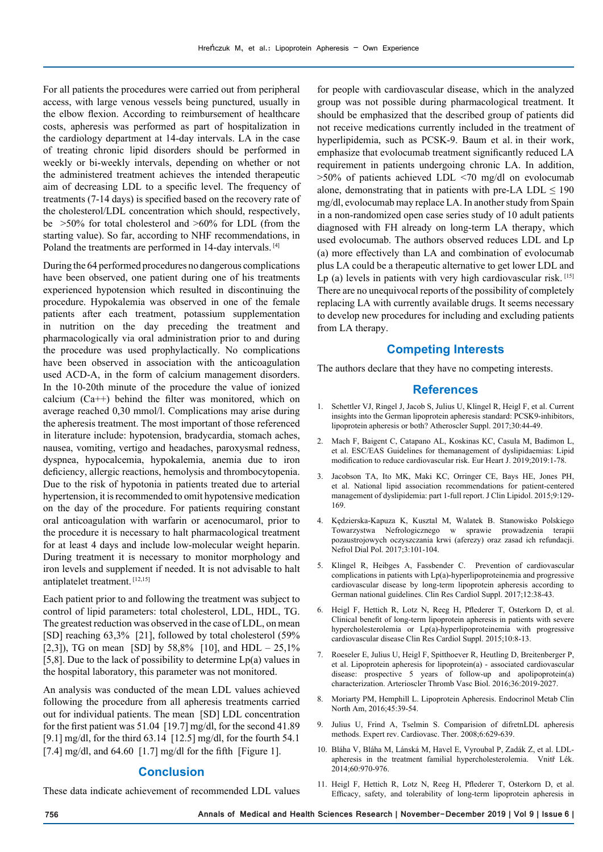For all patients the procedures were carried out from peripheral access, with large venous vessels being punctured, usually in the elbow flexion. According to reimbursement of healthcare costs, apheresis was performed as part of hospitalization in the cardiology department at 14-day intervals. LA in the case of treating chronic lipid disorders should be performed in weekly or bi-weekly intervals, depending on whether or not the administered treatment achieves the intended therapeutic aim of decreasing LDL to a specific level. The frequency of treatments (7-14 days) is specified based on the recovery rate of the cholesterol/LDL concentration which should, respectively, be  $>50\%$  for total cholesterol and  $>60\%$  for LDL (from the starting value). So far, according to NHF recommendations, in Poland the treatments are performed in 14-day intervals. [4]

During the 64 performed procedures no dangerous complications have been observed, one patient during one of his treatments experienced hypotension which resulted in discontinuing the procedure. Hypokalemia was observed in one of the female patients after each treatment, potassium supplementation in nutrition on the day preceding the treatment and pharmacologically via oral administration prior to and during the procedure was used prophylactically. No complications have been observed in association with the anticoagulation used ACD-A, in the form of calcium management disorders. In the 10-20th minute of the procedure the value of ionized calcium (Ca++) behind the filter was monitored, which on average reached 0,30 mmol/l. Complications may arise during the apheresis treatment. The most important of those referenced in literature include: hypotension, bradycardia, stomach aches, nausea, vomiting, vertigo and headaches, paroxysmal redness, dyspnea, hypocalcemia, hypokalemia, anemia due to iron deficiency, allergic reactions, hemolysis and thrombocytopenia. Due to the risk of hypotonia in patients treated due to arterial hypertension, it is recommended to omit hypotensive medication on the day of the procedure. For patients requiring constant oral anticoagulation with warfarin or acenocumarol, prior to the procedure it is necessary to halt pharmacological treatment for at least 4 days and include low-molecular weight heparin. During treatment it is necessary to monitor morphology and iron levels and supplement if needed. It is not advisable to halt antiplatelet treatment. [12,15]

Each patient prior to and following the treatment was subject to control of lipid parameters: total cholesterol, LDL, HDL, TG. The greatest reduction was observed in the case of LDL, on mean [SD] reaching 63,3% [21], followed by total cholesterol (59%) [2,3]), TG on mean [SD] by 58,8% [10], and HDL –  $25,1\%$ [5,8]. Due to the lack of possibility to determine  $Lp(a)$  values in the hospital laboratory, this parameter was not monitored.

An analysis was conducted of the mean LDL values achieved following the procedure from all apheresis treatments carried out for individual patients. The mean [SD] LDL concentration for the first patient was 51.04 [19.7] mg/dl, for the second 41.89 [9.1] mg/dl, for the third 63.14 [12.5] mg/dl, for the fourth 54.1 [7.4] mg/dl, and  $64.60$  [1.7] mg/dl for the fifth [Figure 1].

### **Conclusion**

These data indicate achievement of recommended LDL values

for people with cardiovascular disease, which in the analyzed group was not possible during pharmacological treatment. It should be emphasized that the described group of patients did not receive medications currently included in the treatment of hyperlipidemia, such as PCSK-9. Baum et al. in their work, emphasize that evolocumab treatment significantly reduced LA requirement in patients undergoing chronic LA. In addition,  $>50\%$  of patients achieved LDL  $< 70$  mg/dl on evolocumab alone, demonstrating that in patients with pre-LA LDL  $\leq 190$ mg/dl, evolocumab may replace LA. In another study from Spain in a non-randomized open case series study of 10 adult patients diagnosed with FH already on long-term LA therapy, which used evolocumab. The authors observed reduces LDL and Lp (a) more effectively than LA and combination of evolocumab plus LA could be a therapeutic alternative to get lower LDL and Lp (a) levels in patients with very high cardiovascular risk.  $[15]$ There are no unequivocal reports of the possibility of completely replacing LA with currently available drugs. It seems necessary to develop new procedures for including and excluding patients from LA therapy.

## **Competing Interests**

The authors declare that they have no competing interests.

#### **References**

- 1. Schettler VJ, Ringel J, Jacob S, Julius U, Klingel R, Heigl F, et al. Current insights into the German lipoprotein apheresis standard: PCSK9-inhibitors, lipoprotein apheresis or both? Atheroscler Suppl. 2017;30:44-49.
- 2. Mach F, Baigent C, Catapano AL, Koskinas KC, Casula M, Badimon L, et al. ESC/EAS Guidelines for themanagement of dyslipidaemias: Lipid modification to reduce cardiovascular risk. Eur Heart J. 2019;2019:1-78.
- 3. Jacobson TA, Ito MK, Maki KC, Orringer CE, Bays HE, Jones PH, et al. National lipid association recommendations for patient-centered management of dyslipidemia: part 1-full report. J Clin Lipidol. 2015;9:129- 169.
- 4. Kędzierska-Kapuza K, Kusztal M, Walatek B. Stanowisko Polskiego Towarzystwa Nefrologicznego w sprawie prowadzenia terapii pozaustrojowych oczyszczania krwi (aferezy) oraz zasad ich refundacji. Nefrol Dial Pol. 2017;3:101-104.
- 5. Klingel R, Heibges A, Fassbender C. Prevention of cardiovascular complications in patients with Lp(a)-hyperlipoproteinemia and progressive cardiovascular disease by long-term lipoprotein apheresis according to German national guidelines. Clin Res Cardiol Suppl. 2017;12:38-43.
- 6. Heigl F, Hettich R, Lotz N, Reeg H, Pflederer T, Osterkorn D, et al. Clinical benefit of long-term lipoprotein apheresis in patients with severe hypercholesterolemia or Lp(a)-hyperlipoproteinemia with progressive cardiovascular disease Clin Res Cardiol Suppl. 2015;10:8-13.
- 7. Roeseler E, Julius U, Heigl F, Spitthoever R, Heutling D, Breitenberger P, et al. Lipoprotein apheresis for lipoprotein(a) - associated cardiovascular disease: prospective 5 years of follow-up and apolipoprotein(a) characterization. Arterioscler Thromb Vasc Biol. 2016;36:2019-2027.
- 8. Moriarty PM, Hemphill L. Lipoprotein Apheresis. Endocrinol Metab Clin North Am, 2016;45:39-54.
- 9. Julius U, Frind A, Tselmin S. Comparision of difretnLDL apheresis methods. Expert rev. Cardiovasc. Ther. 2008;6:629-639.
- 10. Bláha V, Bláha M, Lánská M, Havel E, Vyroubal P, Zadák Z, et al. LDLapheresis in the treatment familial hypercholesterolemia. Vnitř Lék. 2014;60:970-976.
- 11. Heigl F, Hettich R, Lotz N, Reeg H, Pflederer T, Osterkorn D, et al. Efficacy, safety, and tolerability of long-term lipoprotein apheresis in